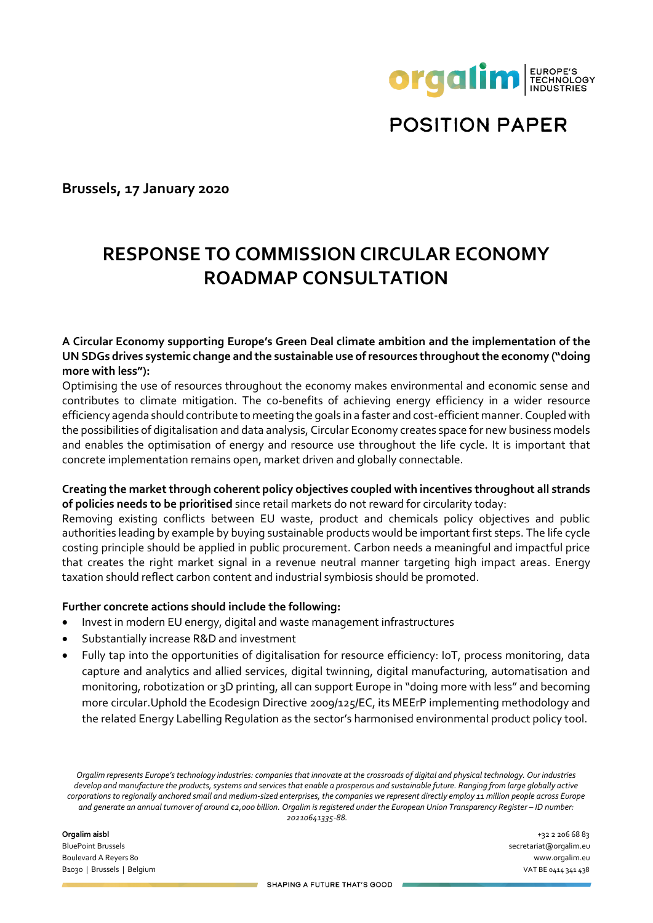

**POSITION PAPER** 

**Brussels, 17 January 2020**

# **RESPONSE TO COMMISSION CIRCULAR ECONOMY ROADMAP CONSULTATION**

### **A Circular Economy supporting Europe's Green Deal climate ambition and the implementation of the UN SDGs drives systemic change and the sustainable use of resources throughout the economy ("doing more with less"):**

Optimising the use of resources throughout the economy makes environmental and economic sense and contributes to climate mitigation. The co-benefits of achieving energy efficiency in a wider resource efficiency agenda should contribute to meeting the goals in a faster and cost-efficient manner. Coupled with the possibilities of digitalisation and data analysis, Circular Economy creates space for new business models and enables the optimisation of energy and resource use throughout the life cycle. It is important that concrete implementation remains open, market driven and globally connectable.

#### **Creating the market through coherent policy objectives coupled with incentives throughout all strands of policies needs to be prioritised** since retail markets do not reward for circularity today:

Removing existing conflicts between EU waste, product and chemicals policy objectives and public authorities leading by example by buying sustainable products would be important first steps. The life cycle costing principle should be applied in public procurement. Carbon needs a meaningful and impactful price that creates the right market signal in a revenue neutral manner targeting high impact areas. Energy taxation should reflect carbon content and industrial symbiosis should be promoted.

#### **Further concrete actions should include the following:**

- Invest in modern EU energy, digital and waste management infrastructures
- Substantially increase R&D and investment
- Fully tap into the opportunities of digitalisation for resource efficiency: IoT, process monitoring, data capture and analytics and allied services, digital twinning, digital manufacturing, automatisation and monitoring, robotization or 3D printing, all can support Europe in "doing more with less" and becoming more circular.Uphold the Ecodesign Directive 2009/125/EC, its MEErP implementing methodology and the related Energy Labelling Regulation as the sector's harmonised environmental product policy tool.

Orgalim represents Europe's technology industries: companies that innovate at the crossroads of digital and physical technology. Our industries *develop and manufacture the products, systems and services that enable a prosperous and sustainable future. Ranging from large globally active corporations to regionally anchored small and medium-sized enterprises, the companies we represent directly employ 11 million people across Europe and generate an annual turnover of around €2,000 billion. Orgalim is registered under the European Union Transparency Register – ID number: 20210641335-88.*

**Orgalim aisbl** +32 2 206 68 83 BluePoint Brussels secretariat@orgalim.eu Boulevard A Reyers 80 www.orgalim.eu B1030 | Brussels | Belgium | VAT BE 0414 341 438